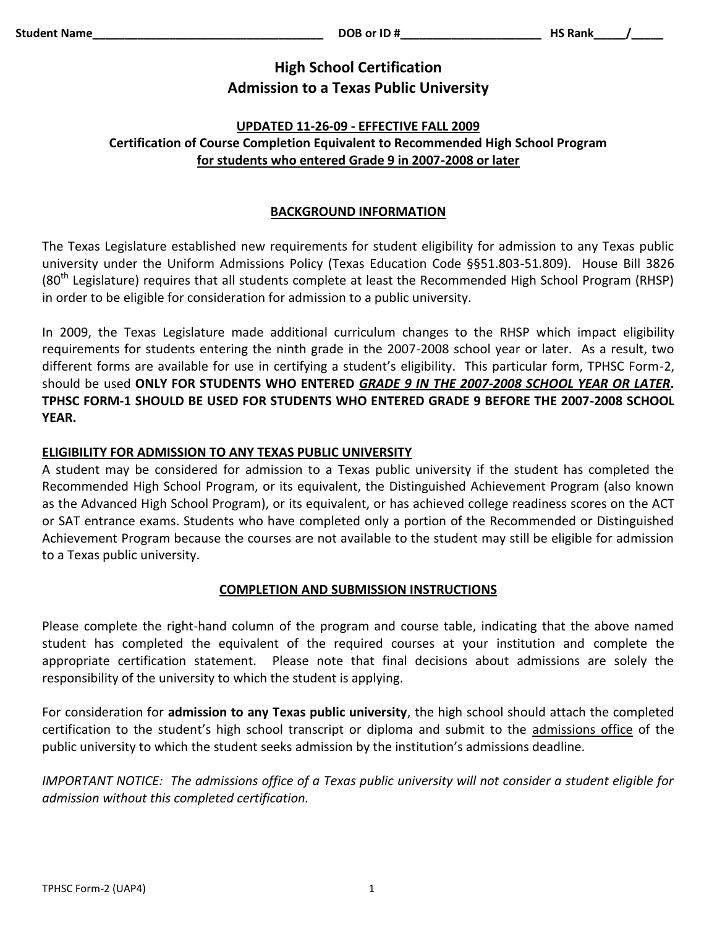# **High School Certification Admission to a Texas Public University**

# **UPDATED 11-26-09 - EFFECTIVE FALL 2009 Certification of Course Completion Equivalent to Recommended High School Program for students who entered Grade 9 in 2007-2008 or later**

### **BACKGROUND INFORMATION**

The Texas Legislature established new requirements for student eligibility for admission to any Texas public university under the Uniform Admissions Policy (Texas Education Code §§51.803-51.809). House Bill 3826 (80<sup>th</sup> Legislature) requires that all students complete at least the Recommended High School Program (RHSP) in order to be eligible for consideration for admission to a public university.

In 2009, the Texas Legislature made additional curriculum changes to the RHSP which impact eligibility requirements for students entering the ninth grade in the 2007-2008 school year or later. As a result, two different forms are available for use in certifying a student's eligibility. This particular form, TPHSC Form-2, should be used **ONLY FOR STUDENTS WHO ENTERED** *GRADE 9 IN THE 2007-2008 SCHOOL YEAR OR LATER***. TPHSC FORM-1 SHOULD BE USED FOR STUDENTS WHO ENTERED GRADE 9 BEFORE THE 2007-2008 SCHOOL YEAR.** 

#### **ELIGIBILITY FOR ADMISSION TO ANY TEXAS PUBLIC UNIVERSITY**

A student may be considered for admission to a Texas public university if the student has completed the Recommended High School Program, or its equivalent, the Distinguished Achievement Program (also known as the Advanced High School Program), or its equivalent, or has achieved college readiness scores on the ACT or SAT entrance exams. Students who have completed only a portion of the Recommended or Distinguished Achievement Program because the courses are not available to the student may still be eligible for admission to a Texas public university.

## **COMPLETION AND SUBMISSION INSTRUCTIONS**

Please complete the right-hand column of the program and course table, indicating that the above named student has completed the equivalent of the required courses at your institution and complete the appropriate certification statement. Please note that final decisions about admissions are solely the responsibility of the university to which the student is applying.

For consideration for **admission to any Texas public university**, the high school should attach the completed certification to the student's high school transcript or diploma and submit to the admissions office of the public university to which the student seeks admission by the institution's admissions deadline.

*IMPORTANT NOTICE: The admissions office of a Texas public university will not consider a student eligible for admission without this completed certification.*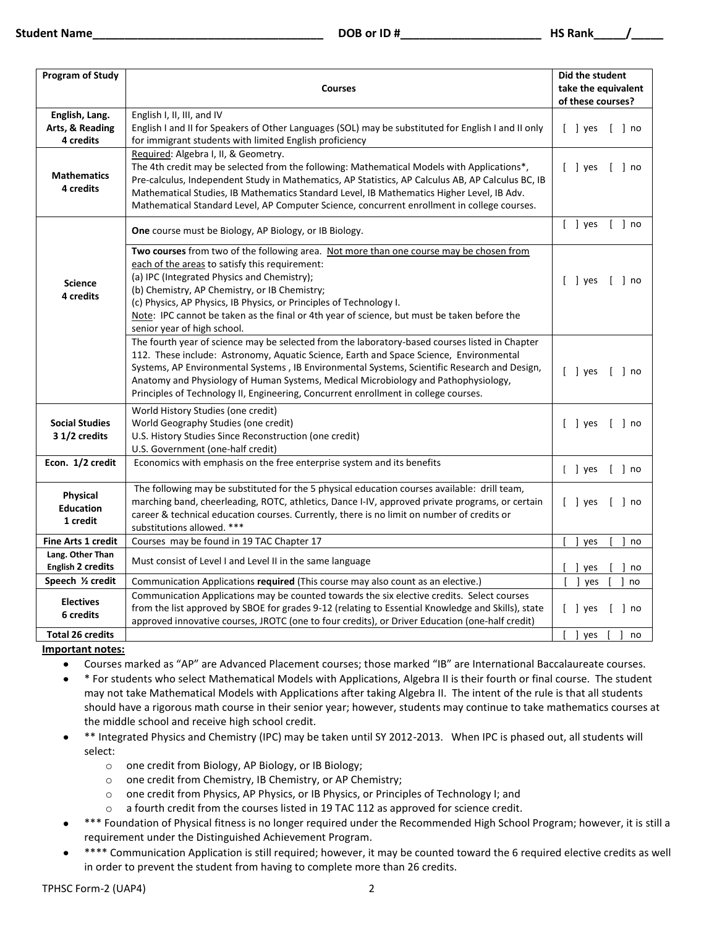| <b>Program of Study</b>                      |                                                                                                                                                                                                                                                                                                                                                                                                                                                                       | Did the student                                             |
|----------------------------------------------|-----------------------------------------------------------------------------------------------------------------------------------------------------------------------------------------------------------------------------------------------------------------------------------------------------------------------------------------------------------------------------------------------------------------------------------------------------------------------|-------------------------------------------------------------|
|                                              | <b>Courses</b>                                                                                                                                                                                                                                                                                                                                                                                                                                                        | take the equivalent                                         |
|                                              |                                                                                                                                                                                                                                                                                                                                                                                                                                                                       | of these courses?                                           |
| English, Lang.                               | English I, II, III, and IV                                                                                                                                                                                                                                                                                                                                                                                                                                            |                                                             |
| Arts, & Reading                              | English I and II for Speakers of Other Languages (SOL) may be substituted for English I and II only                                                                                                                                                                                                                                                                                                                                                                   | $\begin{bmatrix} \end{bmatrix}$ yes<br>[ ] no               |
| 4 credits                                    | for immigrant students with limited English proficiency                                                                                                                                                                                                                                                                                                                                                                                                               |                                                             |
| <b>Mathematics</b><br>4 credits              | Required: Algebra I, II, & Geometry.<br>The 4th credit may be selected from the following: Mathematical Models with Applications*,<br>Pre-calculus, Independent Study in Mathematics, AP Statistics, AP Calculus AB, AP Calculus BC, IB<br>Mathematical Studies, IB Mathematics Standard Level, IB Mathematics Higher Level, IB Adv.<br>Mathematical Standard Level, AP Computer Science, concurrent enrollment in college courses.                                   | $\lceil$   yes<br>  no                                      |
|                                              | <b>One</b> course must be Biology, AP Biology, or IB Biology.                                                                                                                                                                                                                                                                                                                                                                                                         | $[$ ] yes<br>1 no                                           |
| <b>Science</b><br>4 credits                  | Two courses from two of the following area. Not more than one course may be chosen from<br>each of the areas to satisfy this requirement:<br>(a) IPC (Integrated Physics and Chemistry);<br>(b) Chemistry, AP Chemistry, or IB Chemistry;<br>(c) Physics, AP Physics, IB Physics, or Principles of Technology I.<br>Note: IPC cannot be taken as the final or 4th year of science, but must be taken before the<br>senior year of high school.                        | [ ] yes [ ] no                                              |
|                                              | The fourth year of science may be selected from the laboratory-based courses listed in Chapter<br>112. These include: Astronomy, Aquatic Science, Earth and Space Science, Environmental<br>Systems, AP Environmental Systems, IB Environmental Systems, Scientific Research and Design,<br>Anatomy and Physiology of Human Systems, Medical Microbiology and Pathophysiology,<br>Principles of Technology II, Engineering, Concurrent enrollment in college courses. | $\lceil$ $\rceil$ yes $\lceil$ $\rceil$ no                  |
| <b>Social Studies</b><br>3 1/2 credits       | World History Studies (one credit)<br>World Geography Studies (one credit)<br>U.S. History Studies Since Reconstruction (one credit)<br>U.S. Government (one-half credit)                                                                                                                                                                                                                                                                                             | $\lceil \ \rceil$ yes<br>$\lceil$ $\rceil$ no               |
| Econ. 1/2 credit                             | Economics with emphasis on the free enterprise system and its benefits                                                                                                                                                                                                                                                                                                                                                                                                | $\lceil$ $\rceil$ no<br>$\begin{bmatrix} \end{bmatrix}$ yes |
| Physical<br><b>Education</b><br>1 credit     | The following may be substituted for the 5 physical education courses available: drill team,<br>marching band, cheerleading, ROTC, athletics, Dance I-IV, approved private programs, or certain<br>career & technical education courses. Currently, there is no limit on number of credits or<br>substitutions allowed. ***                                                                                                                                           | $\lceil \ \rceil$ yes<br>$\lceil$ $\rceil$ no               |
| <b>Fine Arts 1 credit</b>                    | Courses may be found in 19 TAC Chapter 17                                                                                                                                                                                                                                                                                                                                                                                                                             | yes<br>no                                                   |
| Lang. Other Than<br><b>English 2 credits</b> | Must consist of Level I and Level II in the same language                                                                                                                                                                                                                                                                                                                                                                                                             | -1<br>yes<br>no                                             |
| Speech 1/2 credit                            | Communication Applications required (This course may also count as an elective.)                                                                                                                                                                                                                                                                                                                                                                                      | ] yes<br>no                                                 |
| <b>Electives</b><br>6 credits                | Communication Applications may be counted towards the six elective credits. Select courses<br>from the list approved by SBOE for grades 9-12 (relating to Essential Knowledge and Skills), state<br>approved innovative courses, JROTC (one to four credits), or Driver Education (one-half credit)                                                                                                                                                                   | $[$ ] yes<br>$\lceil$   no                                  |
| <b>Total 26 credits</b>                      |                                                                                                                                                                                                                                                                                                                                                                                                                                                                       | no<br>T<br>yes                                              |

**Important notes:** 

- Courses marked as "AP" are Advanced Placement courses; those marked "IB" are International Baccalaureate courses.  $\bullet$
- \* For students who select Mathematical Models with Applications, Algebra II is their fourth or final course. The student  $\bullet$ may not take Mathematical Models with Applications after taking Algebra II. The intent of the rule is that all students should have a rigorous math course in their senior year; however, students may continue to take mathematics courses at the middle school and receive high school credit.
- \*\* Integrated Physics and Chemistry (IPC) may be taken until SY 2012-2013. When IPC is phased out, all students will select:
	- o one credit from Biology, AP Biology, or IB Biology;
	- o one credit from Chemistry, IB Chemistry, or AP Chemistry;
	- $\circ$  one credit from Physics, AP Physics, or IB Physics, or Principles of Technology I; and
	- o a fourth credit from the courses listed in 19 TAC 112 as approved for science credit.
- \*\*\* Foundation of Physical fitness is no longer required under the Recommended High School Program; however, it is still a  $\bullet$ requirement under the Distinguished Achievement Program.
- \*\*\*\* Communication Application is still required; however, it may be counted toward the 6 required elective credits as well in order to prevent the student from having to complete more than 26 credits.